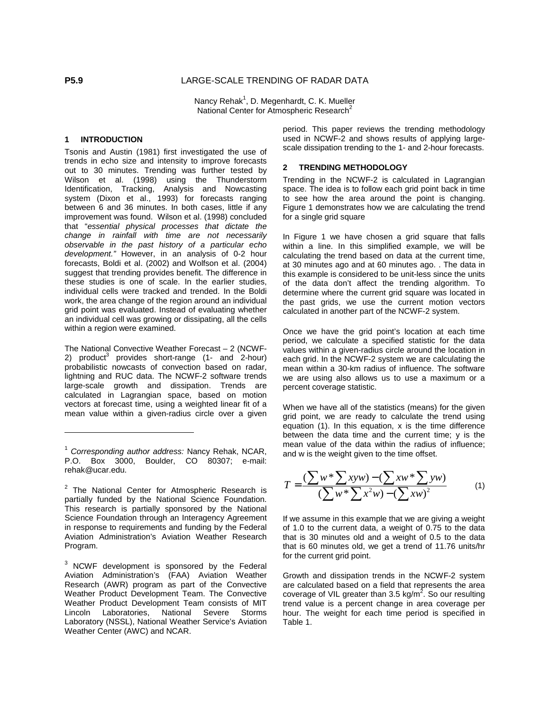Nancy Rehak<sup>1</sup>, D. Megenhardt, C. K. Mueller National Center for Atmospheric Research<sup>2</sup>

#### **1 INTRODUCTION**

Tsonis and Austin (1981) first investigated the use of trends in echo size and intensity to improve forecasts out to 30 minutes. Trending was further tested by Wilson et al. (1998) using the Thunderstorm Identification, Tracking, Analysis and Nowcasting system (Dixon et al., 1993) for forecasts ranging between 6 and 36 minutes. In both cases, little if any improvement was found. Wilson et al. (1998) concluded that "essential physical processes that dictate the change in rainfall with time are not necessarily observable in the past history of a particular echo development." However, in an analysis of 0-2 hour forecasts, Boldi et al. (2002) and Wolfson et al. (2004) suggest that trending provides benefit. The difference in these studies is one of scale. In the earlier studies, individual cells were tracked and trended. In the Boldi work, the area change of the region around an individual grid point was evaluated. Instead of evaluating whether an individual cell was growing or dissipating, all the cells within a region were examined.

The National Convective Weather Forecast – 2 (NCWF-2) product<sup>3</sup> provides short-range (1- and  $2$ -hour) probabilistic nowcasts of convection based on radar, lightning and RUC data. The NCWF-2 software trends large-scale growth and dissipation. Trends are calculated in Lagrangian space, based on motion vectors at forecast time, using a weighted linear fit of a mean value within a given-radius circle over a given period. This paper reviews the trending methodology used in NCWF-2 and shows results of applying largescale dissipation trending to the 1- and 2-hour forecasts.

# **2 TRENDING METHODOLOGY**

Trending in the NCWF-2 is calculated in Lagrangian space. The idea is to follow each grid point back in time to see how the area around the point is changing. Figure 1 demonstrates how we are calculating the trend for a single grid square

In Figure 1 we have chosen a grid square that falls within a line. In this simplified example, we will be calculating the trend based on data at the current time, at 30 minutes ago and at 60 minutes ago. . The data in this example is considered to be unit-less since the units of the data don't affect the trending algorithm. To determine where the current grid square was located in the past grids, we use the current motion vectors calculated in another part of the NCWF-2 system.

Once we have the grid point's location at each time period, we calculate a specified statistic for the data values within a given-radius circle around the location in each grid. In the NCWF-2 system we are calculating the mean within a 30-km radius of influence. The software we are using also allows us to use a maximum or a percent coverage statistic.

When we have all of the statistics (means) for the given grid point, we are ready to calculate the trend using equation (1). In this equation, x is the time difference between the data time and the current time; y is the mean value of the data within the radius of influence; and w is the weight given to the time offset.

$$
T = \frac{(\sum w^* \sum xyw) - (\sum xw^* \sum yw)}{(\sum w^* \sum x^2w) - (\sum xw)^2}
$$
(1)

If we assume in this example that we are giving a weight of 1.0 to the current data, a weight of 0.75 to the data that is 30 minutes old and a weight of 0.5 to the data that is 60 minutes old, we get a trend of 11.76 units/hr for the current grid point.

Growth and dissipation trends in the NCWF-2 system are calculated based on a field that represents the area coverage of VIL greater than 3.5 kg/m<sup>2</sup>. So our resulting trend value is a percent change in area coverage per hour. The weight for each time period is specified in Table 1.

 $\overline{a}$ 

 $1$  Corresponding author address: Nancy Rehak, NCAR, P.O. Box 3000, Boulder, CO 80307; e-mail: rehak@ucar.edu.

<sup>&</sup>lt;sup>2</sup> The National Center for Atmospheric Research is partially funded by the National Science Foundation. This research is partially sponsored by the National Science Foundation through an Interagency Agreement in response to requirements and funding by the Federal Aviation Administration's Aviation Weather Research Program.

 $3$  NCWF development is sponsored by the Federal Aviation Administration's (FAA) Aviation Weather Research (AWR) program as part of the Convective Weather Product Development Team. The Convective Weather Product Development Team consists of MIT<br>Lincoln Laboratories, National Severe Storms Lincoln Laboratories, National Severe Storms Laboratory (NSSL), National Weather Service's Aviation Weather Center (AWC) and NCAR.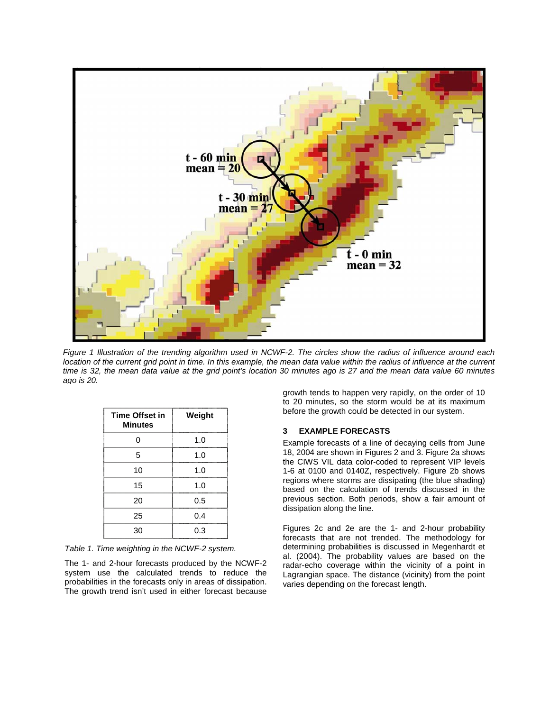

Figure 1 Illustration of the trending algorithm used in NCWF-2. The circles show the radius of influence around each location of the current grid point in time. In this example, the mean data value within the radius of influence at the current time is 32, the mean data value at the grid point's location 30 minutes ago is 27 and the mean data value 60 minutes ago is 20.

| <b>Time Offset in</b><br><b>Minutes</b> | Weight |
|-----------------------------------------|--------|
|                                         | 1.0    |
| 5                                       | 1.0    |
| 10                                      | 1.0    |
| 15                                      | 1.0    |
| 20                                      | 0.5    |
| 25                                      | 0.4    |
| 30                                      | 0.3    |

Table 1. Time weighting in the NCWF-2 system.

The 1- and 2-hour forecasts produced by the NCWF-2 system use the calculated trends to reduce the probabilities in the forecasts only in areas of dissipation. The growth trend isn't used in either forecast because growth tends to happen very rapidly, on the order of 10 to 20 minutes, so the storm would be at its maximum before the growth could be detected in our system.

## **3 EXAMPLE FORECASTS**

Example forecasts of a line of decaying cells from June 18, 2004 are shown in Figures 2 and 3. Figure 2a shows the CIWS VIL data color-coded to represent VIP levels 1-6 at 0100 and 0140Z, respectively. Figure 2b shows regions where storms are dissipating (the blue shading) based on the calculation of trends discussed in the previous section. Both periods, show a fair amount of dissipation along the line.

Figures 2c and 2e are the 1- and 2-hour probability forecasts that are not trended. The methodology for determining probabilities is discussed in Megenhardt et al. (2004). The probability values are based on the radar-echo coverage within the vicinity of a point in Lagrangian space. The distance (vicinity) from the point varies depending on the forecast length.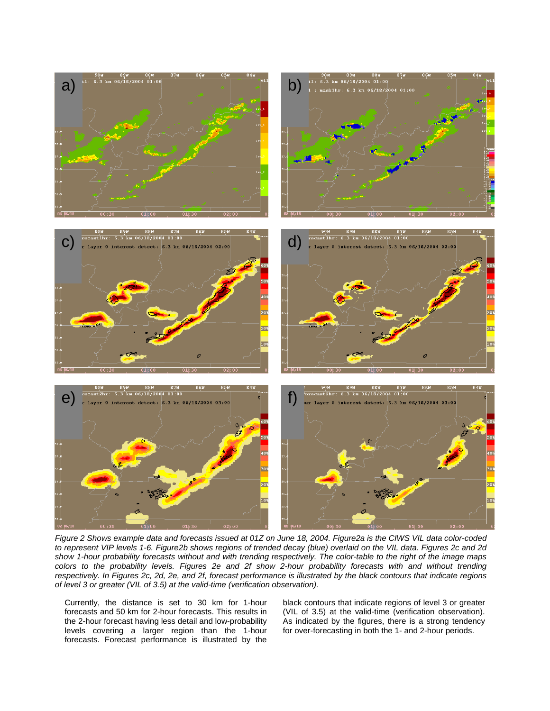

Figure 2 Shows example data and forecasts issued at 01Z on June 18, 2004. Figure2a is the CIWS VIL data color-coded to represent VIP levels 1-6. Figure2b shows regions of trended decay (blue) overlaid on the VIL data. Figures 2c and 2d show 1-hour probability forecasts without and with trending respectively. The color-table to the right of the image maps colors to the probability levels. Figures 2e and 2f show 2-hour probability forecasts with and without trending respectively. In Figures 2c, 2d, 2e, and 2f, forecast performance is illustrated by the black contours that indicate regions of level 3 or greater (VIL of 3.5) at the valid-time (verification observation).

Currently, the distance is set to 30 km for 1-hour forecasts and 50 km for 2-hour forecasts. This results in the 2-hour forecast having less detail and low-probability levels covering a larger region than the 1-hour forecasts. Forecast performance is illustrated by the

black contours that indicate regions of level 3 or greater (VIL of 3.5) at the valid-time (verification observation). As indicated by the figures, there is a strong tendency for over-forecasting in both the 1- and 2-hour periods.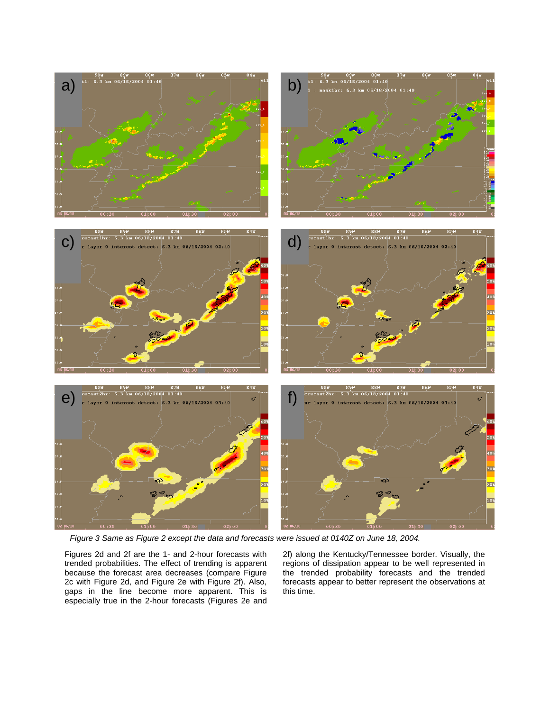

Figure 3 Same as Figure 2 except the data and forecasts were issued at 0140Z on June 18, 2004.

Figures 2d and 2f are the 1- and 2-hour forecasts with trended probabilities. The effect of trending is apparent because the forecast area decreases (compare Figure 2c with Figure 2d, and Figure 2e with Figure 2f). Also, gaps in the line become more apparent. This is especially true in the 2-hour forecasts (Figures 2e and

2f) along the Kentucky/Tennessee border. Visually, the regions of dissipation appear to be well represented in the trended probability forecasts and the trended forecasts appear to better represent the observations at this time.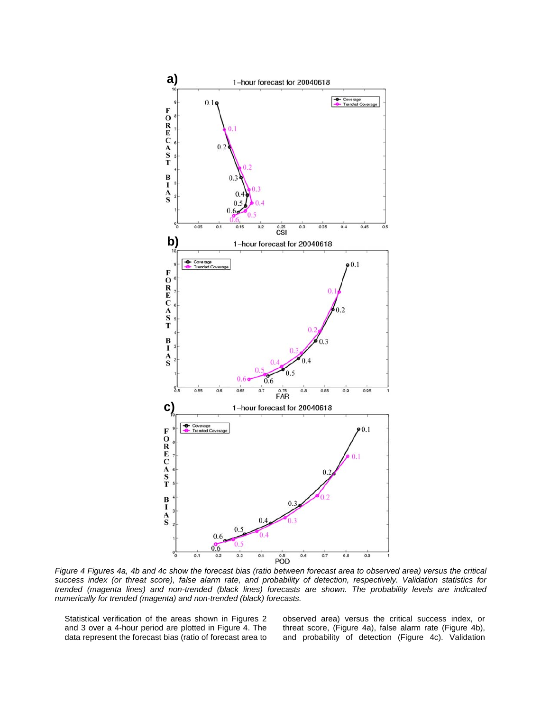

Figure 4 Figures 4a, 4b and 4c show the forecast bias (ratio between forecast area to observed area) versus the critical success index (or threat score), false alarm rate, and probability of detection, respectively. Validation statistics for trended (magenta lines) and non-trended (black lines) forecasts are shown. The probability levels are indicated numerically for trended (magenta) and non-trended (black) forecasts.

Statistical verification of the areas shown in Figures 2 and 3 over a 4-hour period are plotted in Figure 4. The data represent the forecast bias (ratio of forecast area to observed area) versus the critical success index, or threat score, (Figure 4a), false alarm rate (Figure 4b), and probability of detection (Figure 4c). Validation